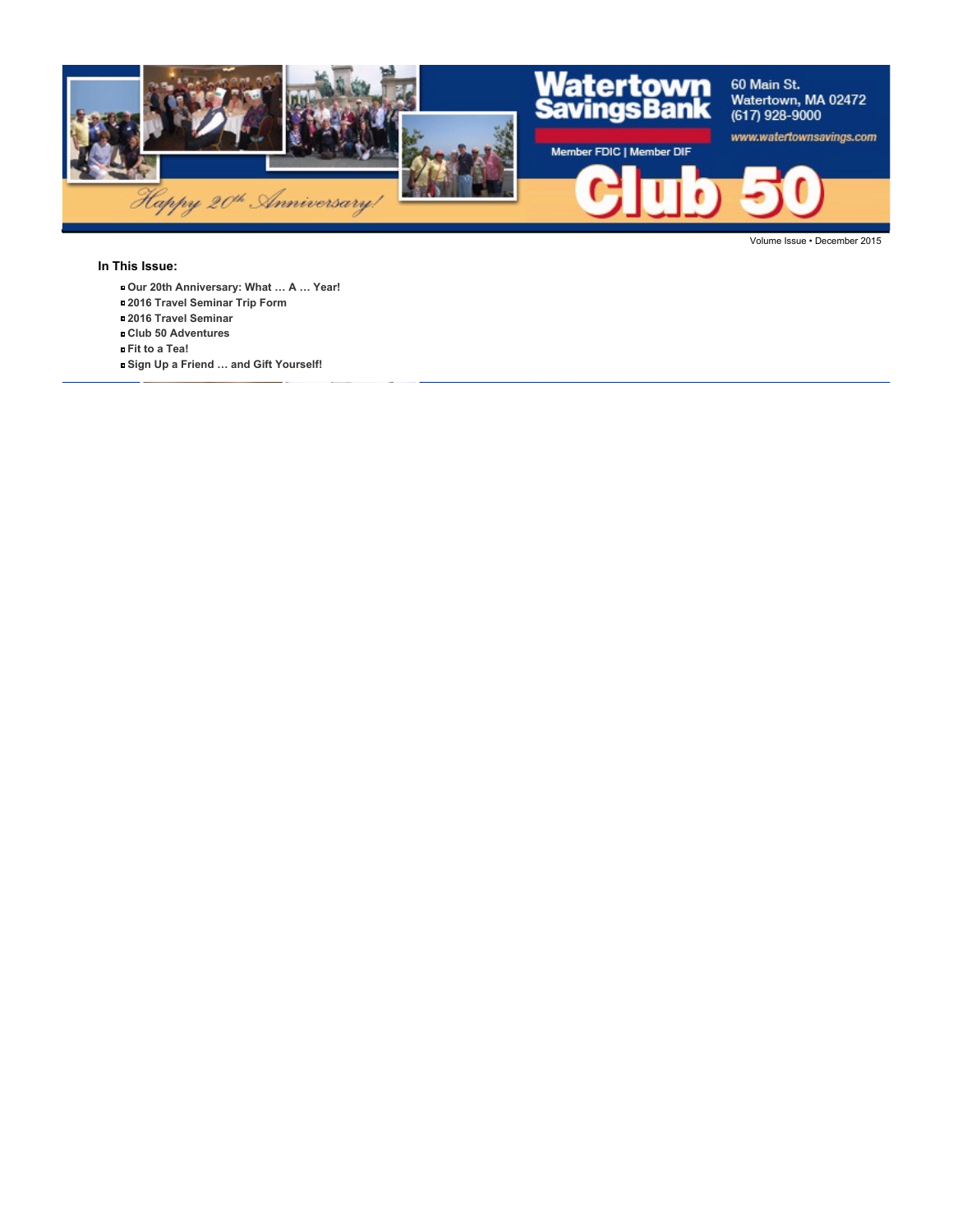

#### **In This Issue:**

- **Our 20th Anniversary: What … A … Year!**
- **2016 Travel Seminar Trip Form**
- **2016 Travel Seminar**
- **Club 50 Adventures**
- **Fit to a Tea!**
- **Sign Up a Friend … and Gift Yourself!**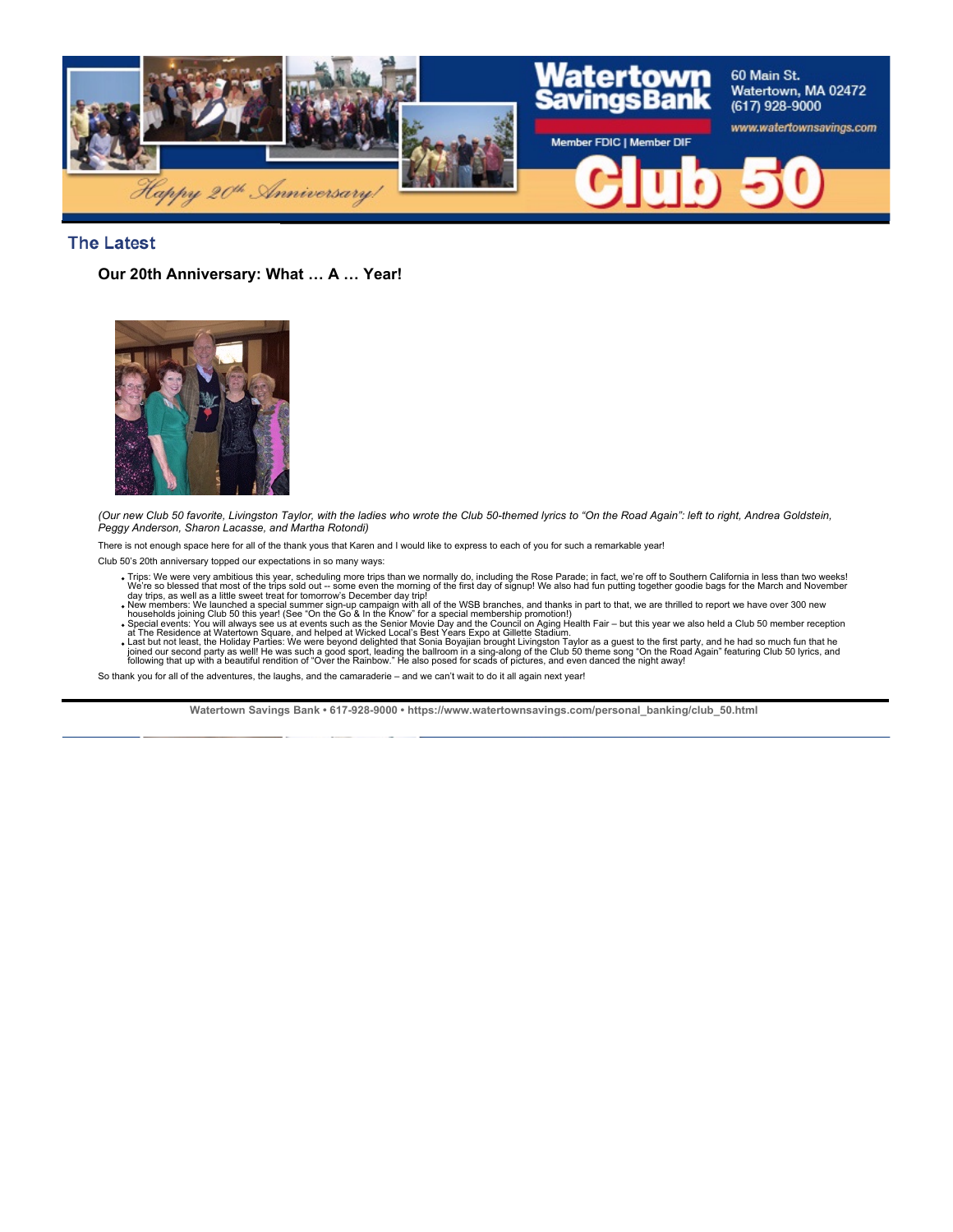

## **The Latest**

**Our 20th Anniversary: What … A … Year!**



*(Our new Club 50 favorite, Livingston Taylor, with the ladies who wrote the Club 50-themed lyrics to "On the Road Again": left to right, Andrea Goldstein, Peggy Anderson, Sharon Lacasse, and Martha Rotondi)*

There is not enough space here for all of the thank yous that Karen and I would like to express to each of you for such a remarkable year!

Club 50's 20th anniversary topped our expectations in so many ways:

- Trips: We were very ambitious this year, scheduling more trips than we normally do, including the Rose Parade; in fact, we're off to Southern California in less than two weeks!<br>We're so blessed that most of the trips sold
- 
- 
- 

So thank you for all of the adventures, the laughs, and the camaraderie – and we can't wait to do it all again next year!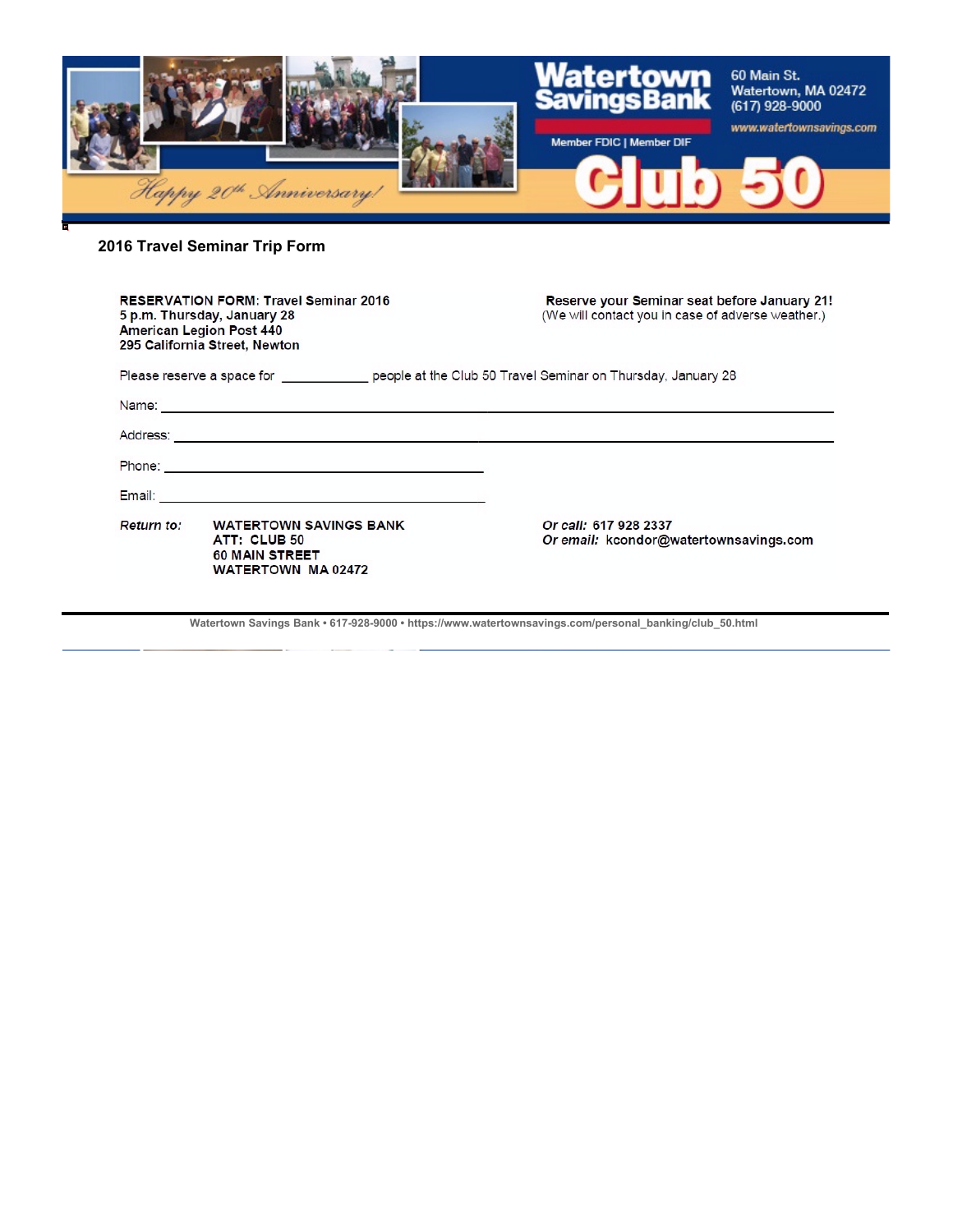

# **2016 Travel Seminar Trip Form**

| <b>RESERVATION FORM: Travel Seminar 2016</b><br>5 p.m. Thursday, January 28<br><b>American Legion Post 440</b><br>295 California Street, Newton                                                                               |                                                                                                                                                                                                                                | Reserve your Seminar seat before January 21!<br>(We will contact you in case of adverse weather.) |
|-------------------------------------------------------------------------------------------------------------------------------------------------------------------------------------------------------------------------------|--------------------------------------------------------------------------------------------------------------------------------------------------------------------------------------------------------------------------------|---------------------------------------------------------------------------------------------------|
| Please reserve a space for _______________ people at the Club 50 Travel Seminar on Thursday, January 28                                                                                                                       |                                                                                                                                                                                                                                |                                                                                                   |
| Name: Name: Name: Name: Name: Name: Name: Name: Name: Name: Name: Name: Name: Name: Name: Name: Name: Name: Name: Name: Name: Name: Name: Name: Name: Name: Name: Name: Name: Name: Name: Name: Name: Name: Name: Name: Name: |                                                                                                                                                                                                                                |                                                                                                   |
|                                                                                                                                                                                                                               |                                                                                                                                                                                                                                |                                                                                                   |
|                                                                                                                                                                                                                               |                                                                                                                                                                                                                                |                                                                                                   |
|                                                                                                                                                                                                                               | Email: Email: All and the state of the state of the state of the state of the state of the state of the state of the state of the state of the state of the state of the state of the state of the state of the state of the s |                                                                                                   |
| Return to:                                                                                                                                                                                                                    | <b>WATERTOWN SAVINGS BANK</b><br>ATT: CLUB 50<br><b>60 MAIN STREET</b><br>WATERTOWN MA 02472                                                                                                                                   | Or call: 617 928 2337<br>Or email: kcondor@watertownsavings.com                                   |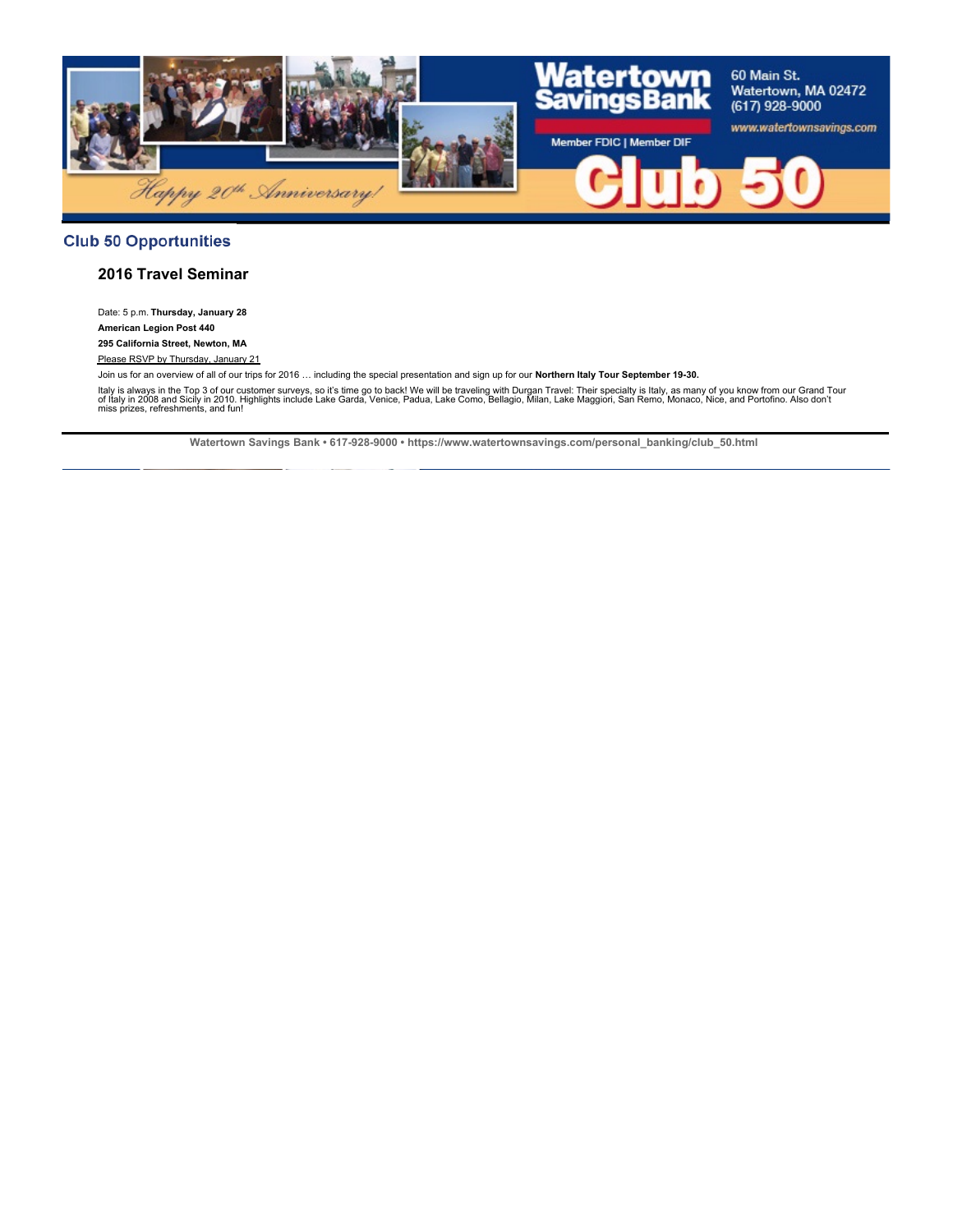

## **Club 50 Opportunities**

### **2016 Travel Seminar**

Date: 5 p.m. **Thursday, January 28 American Legion Post 440 295 California Street, Newton, MA**

Please RSVP by Thursday, January 21

Join us for an overview of all of our trips for 2016 … including the special presentation and sign up for our **Northern Italy Tour September 19-30.**

ltaly is always in the Top 3 of our customer surveys, so it's time go to back! We will be traveling with Durgan Travel: Their specialty is Italy, as many of you know from our Grand Tour<br>of Italy in 2008 and Sicily in 2010.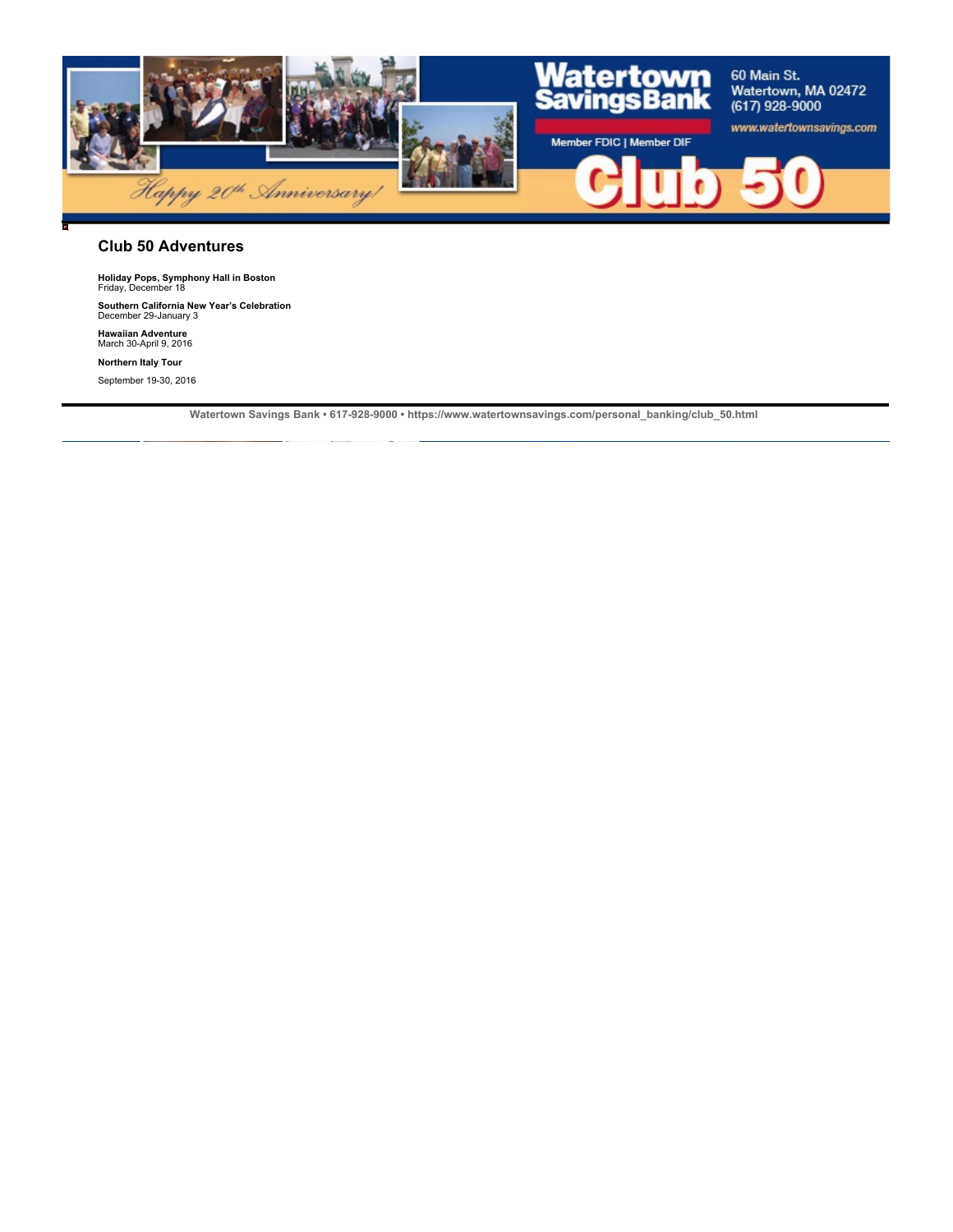

#### **Club 50 Adventures**

**Holiday Pops, Symphony Hall in Boston** Friday, December 18

**Southern California New Year's Celebration** December 29-January 3

**Hawaiian Adventure** March 30-April 9, 2016

**Northern Italy Tour**

September 19-30, 2016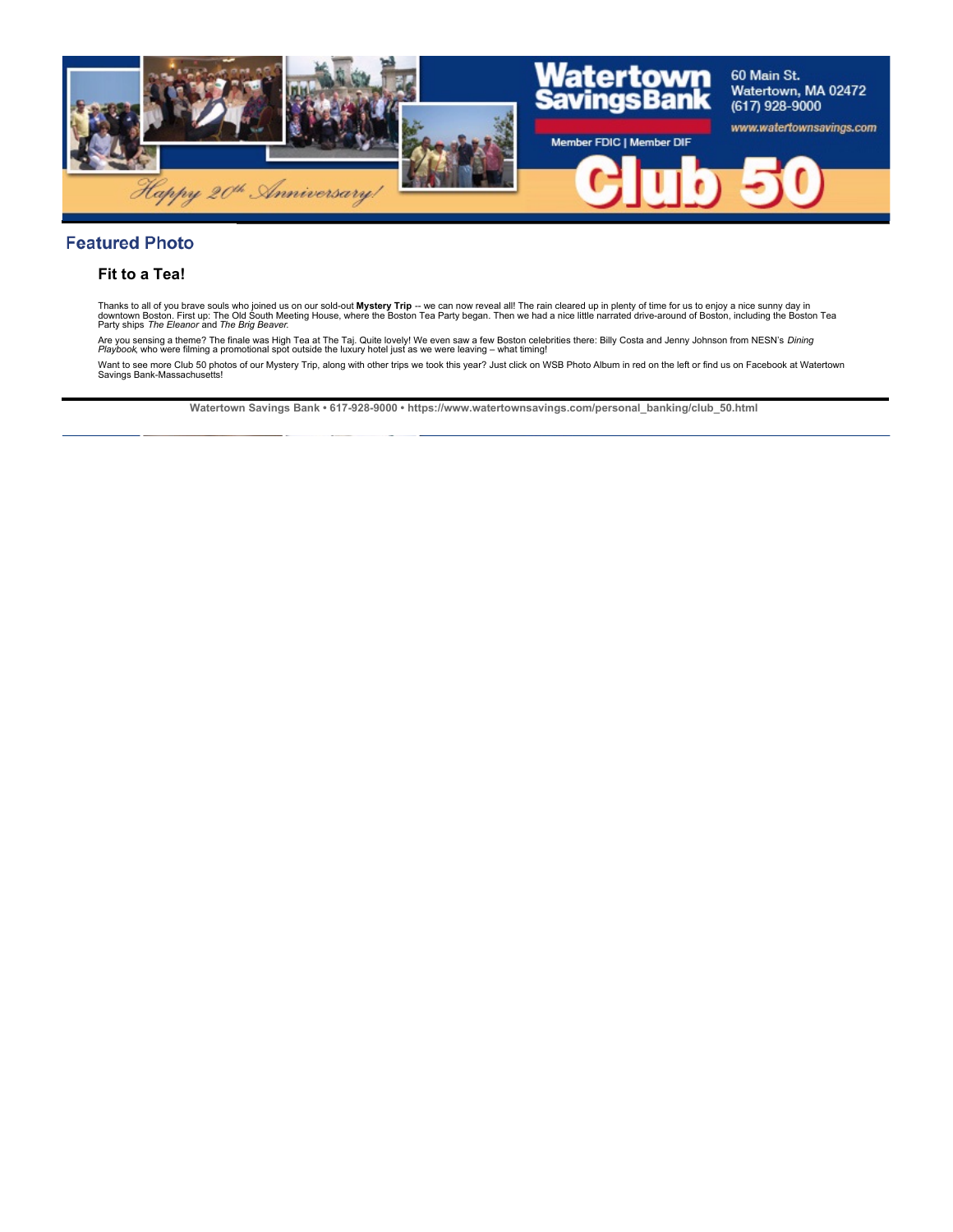

## **Featured Photo**

## **Fit to a Tea!**

Thanks to all of you brave souls who joined us on our sold-out **Mystery Trip** -- we can now reveal all! The rain cleared up in plenty of time for us to enjoy a nice sunny day in<br>downtown Boston. First up: The Did South Mee

Are you sensing a theme? The finale was High Tea at The Taj. Quite lovely! We even saw a few Boston celebrities there: Billy Costa and Jenny Johnson from NESN's *Dining*<br>*Playbook*, who were filming a promotional spot outs Want to see more Club 50 photos of our Mystery Trip, along with other trips we took this year? Just click on WSB Photo Album in red on the left or find us on Facebook at Watertown Savings Bank-Massachusetts!